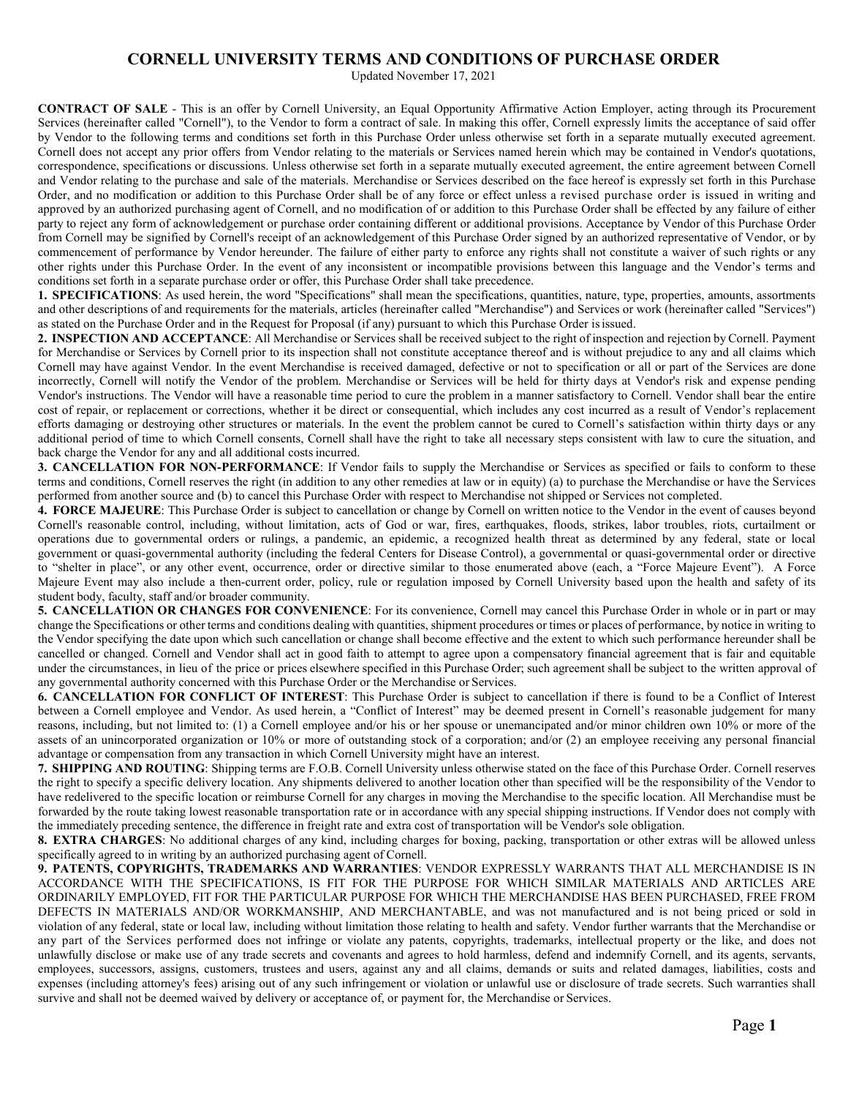Updated November 17, 2021

**CONTRACT OF SALE** - This is an offer by Cornell University, an Equal Opportunity Affirmative Action Employer, acting through its Procurement Services (hereinafter called "Cornell"), to the Vendor to form a contract of sale. In making this offer, Cornell expressly limits the acceptance of said offer by Vendor to the following terms and conditions set forth in this Purchase Order unless otherwise set forth in a separate mutually executed agreement. Cornell does not accept any prior offers from Vendor relating to the materials or Services named herein which may be contained in Vendor's quotations, correspondence, specifications or discussions. Unless otherwise set forth in a separate mutually executed agreement, the entire agreement between Cornell and Vendor relating to the purchase and sale of the materials. Merchandise or Services described on the face hereof is expressly set forth in this Purchase Order, and no modification or addition to this Purchase Order shall be of any force or effect unless a revised purchase order is issued in writing and approved by an authorized purchasing agent of Cornell, and no modification of or addition to this Purchase Order shall be effected by any failure of either party to reject any form of acknowledgement or purchase order containing different or additional provisions. Acceptance by Vendor of this Purchase Order from Cornell may be signified by Cornell's receipt of an acknowledgement of this Purchase Order signed by an authorized representative of Vendor, or by commencement of performance by Vendor hereunder. The failure of either party to enforce any rights shall not constitute a waiver of such rights or any other rights under this Purchase Order. In the event of any inconsistent or incompatible provisions between this language and the Vendor's terms and conditions set forth in a separate purchase order or offer, this Purchase Order shall take precedence.

**1. SPECIFICATIONS**: As used herein, the word "Specifications" shall mean the specifications, quantities, nature, type, properties, amounts, assortments and other descriptions of and requirements for the materials, articles (hereinafter called "Merchandise") and Services or work (hereinafter called "Services") as stated on the Purchase Order and in the Request for Proposal (if any) pursuant to which this Purchase Order isissued.

**2. INSPECTION AND ACCEPTANCE**: All Merchandise or Services shall be received subject to the right of inspection and rejection by Cornell. Payment for Merchandise or Services by Cornell prior to its inspection shall not constitute acceptance thereof and is without prejudice to any and all claims which Cornell may have against Vendor. In the event Merchandise is received damaged, defective or not to specification or all or part of the Services are done incorrectly, Cornell will notify the Vendor of the problem. Merchandise or Services will be held for thirty days at Vendor's risk and expense pending Vendor's instructions. The Vendor will have a reasonable time period to cure the problem in a manner satisfactory to Cornell. Vendor shall bear the entire cost of repair, or replacement or corrections, whether it be direct or consequential, which includes any cost incurred as a result of Vendor's replacement efforts damaging or destroying other structures or materials. In the event the problem cannot be cured to Cornell's satisfaction within thirty days or any additional period of time to which Cornell consents, Cornell shall have the right to take all necessary steps consistent with law to cure the situation, and back charge the Vendor for any and all additional costs incurred.

**3. CANCELLATION FOR NON-PERFORMANCE**: If Vendor fails to supply the Merchandise or Services as specified or fails to conform to these terms and conditions, Cornell reserves the right (in addition to any other remedies at law or in equity) (a) to purchase the Merchandise or have the Services performed from another source and (b) to cancel this Purchase Order with respect to Merchandise not shipped or Services not completed.

**4. FORCE MAJEURE**: This Purchase Order is subject to cancellation or change by Cornell on written notice to the Vendor in the event of causes beyond Cornell's reasonable control, including, without limitation, acts of God or war, fires, earthquakes, floods, strikes, labor troubles, riots, curtailment or operations due to governmental orders or rulings, a pandemic, an epidemic, a recognized health threat as determined by any federal, state or local government or quasi-governmental authority (including the federal Centers for Disease Control), a governmental or quasi-governmental order or directive to "shelter in place", or any other event, occurrence, order or directive similar to those enumerated above (each, a "Force Majeure Event"). A Force Majeure Event may also include a then-current order, policy, rule or regulation imposed by Cornell University based upon the health and safety of its student body, faculty, staff and/or broader community.

**5. CANCELLATION OR CHANGES FOR CONVENIENCE**: For its convenience, Cornell may cancel this Purchase Order in whole or in part or may change the Specifications or other terms and conditions dealing with quantities, shipment procedures or times or places of performance, by notice in writing to the Vendor specifying the date upon which such cancellation or change shall become effective and the extent to which such performance hereunder shall be cancelled or changed. Cornell and Vendor shall act in good faith to attempt to agree upon a compensatory financial agreement that is fair and equitable under the circumstances, in lieu of the price or prices elsewhere specified in this Purchase Order; such agreement shall be subject to the written approval of any governmental authority concerned with this Purchase Order or the Merchandise or Services.

**6. CANCELLATION FOR CONFLICT OF INTEREST**: This Purchase Order is subject to cancellation if there is found to be a Conflict of Interest between a Cornell employee and Vendor. As used herein, a "Conflict of Interest" may be deemed present in Cornell's reasonable judgement for many reasons, including, but not limited to: (1) a Cornell employee and/or his or her spouse or unemancipated and/or minor children own 10% or more of the assets of an unincorporated organization or 10% or more of outstanding stock of a corporation; and/or (2) an employee receiving any personal financial advantage or compensation from any transaction in which Cornell University might have an interest.

**7. SHIPPING AND ROUTING**: Shipping terms are F.O.B. Cornell University unless otherwise stated on the face of this Purchase Order. Cornell reserves the right to specify a specific delivery location. Any shipments delivered to another location other than specified will be the responsibility of the Vendor to have redelivered to the specific location or reimburse Cornell for any charges in moving the Merchandise to the specific location. All Merchandise must be forwarded by the route taking lowest reasonable transportation rate or in accordance with any special shipping instructions. If Vendor does not comply with the immediately preceding sentence, the difference in freight rate and extra cost of transportation will be Vendor's sole obligation.

**8. EXTRA CHARGES**: No additional charges of any kind, including charges for boxing, packing, transportation or other extras will be allowed unless specifically agreed to in writing by an authorized purchasing agent of Cornell.

**9. PATENTS, COPYRIGHTS, TRADEMARKS AND WARRANTIES**: VENDOR EXPRESSLY WARRANTS THAT ALL MERCHANDISE IS IN ACCORDANCE WITH THE SPECIFICATIONS, IS FIT FOR THE PURPOSE FOR WHICH SIMILAR MATERIALS AND ARTICLES ARE ORDINARILY EMPLOYED, FIT FOR THE PARTICULAR PURPOSE FOR WHICH THE MERCHANDISE HAS BEEN PURCHASED, FREE FROM DEFECTS IN MATERIALS AND/OR WORKMANSHIP, AND MERCHANTABLE, and was not manufactured and is not being priced or sold in violation of any federal, state or local law, including without limitation those relating to health and safety. Vendor further warrants that the Merchandise or any part of the Services performed does not infringe or violate any patents, copyrights, trademarks, intellectual property or the like, and does not unlawfully disclose or make use of any trade secrets and covenants and agrees to hold harmless, defend and indemnify Cornell, and its agents, servants, employees, successors, assigns, customers, trustees and users, against any and all claims, demands or suits and related damages, liabilities, costs and expenses (including attorney's fees) arising out of any such infringement or violation or unlawful use or disclosure of trade secrets. Such warranties shall survive and shall not be deemed waived by delivery or acceptance of, or payment for, the Merchandise or Services.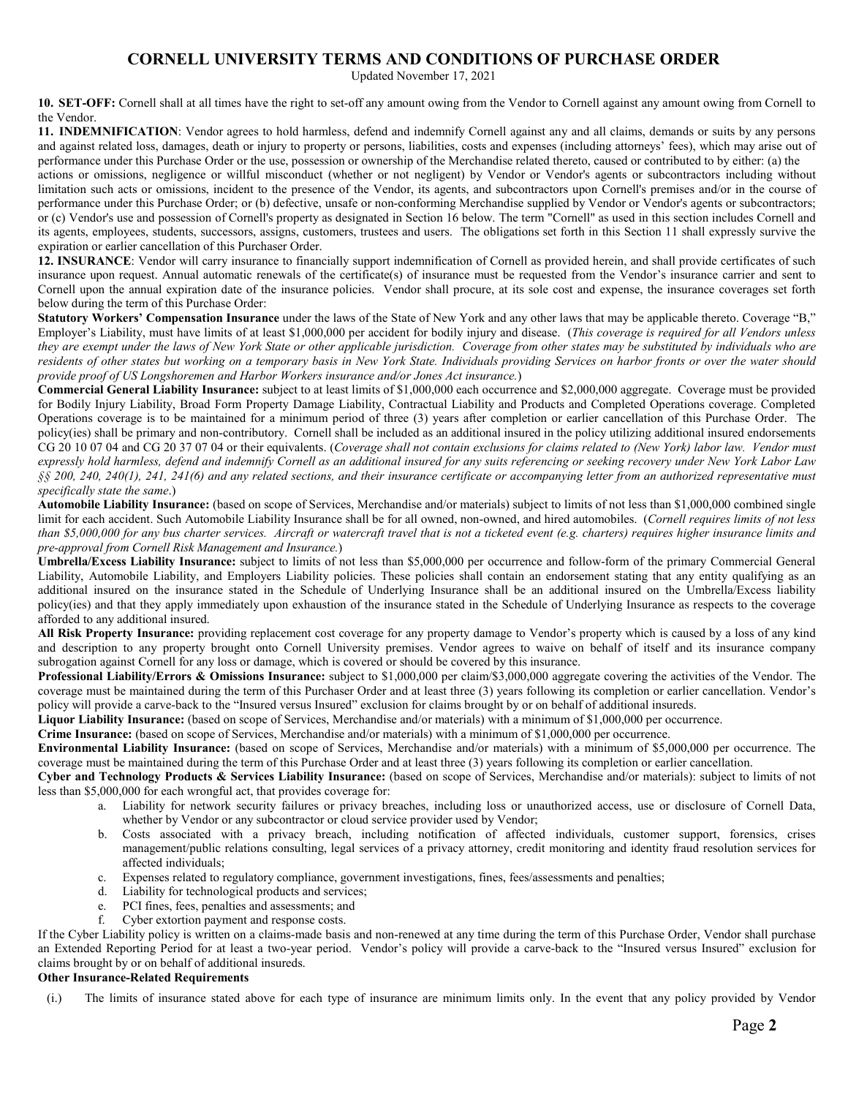Updated November 17, 2021

**10. SET-OFF:** Cornell shall at all times have the right to set-off any amount owing from the Vendor to Cornell against any amount owing from Cornell to the Vendor.

**11. INDEMNIFICATION**: Vendor agrees to hold harmless, defend and indemnify Cornell against any and all claims, demands or suits by any persons and against related loss, damages, death or injury to property or persons, liabilities, costs and expenses (including attorneys' fees), which may arise out of performance under this Purchase Order or the use, possession or ownership of the Merchandise related thereto, caused or contributed to by either: (a) the

actions or omissions, negligence or willful misconduct (whether or not negligent) by Vendor or Vendor's agents or subcontractors including without limitation such acts or omissions, incident to the presence of the Vendor, its agents, and subcontractors upon Cornell's premises and/or in the course of performance under this Purchase Order; or (b) defective, unsafe or non-conforming Merchandise supplied by Vendor or Vendor's agents or subcontractors; or (c) Vendor's use and possession of Cornell's property as designated in Section 16 below. The term "Cornell" as used in this section includes Cornell and its agents, employees, students, successors, assigns, customers, trustees and users. The obligations set forth in this Section 11 shall expressly survive the expiration or earlier cancellation of this Purchaser Order.

**12. INSURANCE**: Vendor will carry insurance to financially support indemnification of Cornell as provided herein, and shall provide certificates of such insurance upon request. Annual automatic renewals of the certificate(s) of insurance must be requested from the Vendor's insurance carrier and sent to Cornell upon the annual expiration date of the insurance policies. Vendor shall procure, at its sole cost and expense, the insurance coverages set forth below during the term of this Purchase Order:

**Statutory Workers' Compensation Insurance** under the laws of the State of New York and any other laws that may be applicable thereto. Coverage "B," Employer's Liability, must have limits of at least \$1,000,000 per accident for bodily injury and disease. (*This coverage is required for all Vendors unless they are exempt under the laws of New York State or other applicable jurisdiction. Coverage from other states may be substituted by individuals who are residents of other states but working on a temporary basis in New York State. Individuals providing Services on harbor fronts or over the water should provide proof of US Longshoremen and Harbor Workers insurance and/or Jones Act insurance.*)

**Commercial General Liability Insurance:** subject to at least limits of \$1,000,000 each occurrence and \$2,000,000 aggregate. Coverage must be provided for Bodily Injury Liability, Broad Form Property Damage Liability, Contractual Liability and Products and Completed Operations coverage. Completed Operations coverage is to be maintained for a minimum period of three (3) years after completion or earlier cancellation of this Purchase Order. The policy(ies) shall be primary and non-contributory. Cornell shall be included as an additional insured in the policy utilizing additional insured endorsements CG 20 10 07 04 and CG 20 37 07 04 or their equivalents. (*Coverage shall not contain exclusions for claims related to (New York) labor law. Vendor must expressly hold harmless, defend and indemnify Cornell as an additional insured for any suits referencing or seeking recovery under New York Labor Law §§ 200, 240, 240(1), 241, 241(6) and any related sections, and their insurance certificate or accompanying letter from an authorized representative must specifically state the same*.)

**Automobile Liability Insurance:** (based on scope of Services, Merchandise and/or materials) subject to limits of not less than \$1,000,000 combined single limit for each accident. Such Automobile Liability Insurance shall be for all owned, non-owned, and hired automobiles. (*Cornell requires limits of not less than \$5,000,000 for any bus charter services. Aircraft or watercraft travel that is not a ticketed event (e.g. charters) requires higher insurance limits and pre-approval from Cornell Risk Management and Insurance.*)

**Umbrella/Excess Liability Insurance:** subject to limits of not less than \$5,000,000 per occurrence and follow-form of the primary Commercial General Liability, Automobile Liability, and Employers Liability policies. These policies shall contain an endorsement stating that any entity qualifying as an additional insured on the insurance stated in the Schedule of Underlying Insurance shall be an additional insured on the Umbrella/Excess liability policy(ies) and that they apply immediately upon exhaustion of the insurance stated in the Schedule of Underlying Insurance as respects to the coverage afforded to any additional insured.

**All Risk Property Insurance:** providing replacement cost coverage for any property damage to Vendor's property which is caused by a loss of any kind and description to any property brought onto Cornell University premises. Vendor agrees to waive on behalf of itself and its insurance company subrogation against Cornell for any loss or damage, which is covered or should be covered by this insurance.

**Professional Liability/Errors & Omissions Insurance:** subject to \$1,000,000 per claim/\$3,000,000 aggregate covering the activities of the Vendor. The coverage must be maintained during the term of this Purchaser Order and at least three (3) years following its completion or earlier cancellation. Vendor's policy will provide a carve-back to the "Insured versus Insured" exclusion for claims brought by or on behalf of additional insureds.

**Liquor Liability Insurance:** (based on scope of Services, Merchandise and/or materials) with a minimum of \$1,000,000 per occurrence.

**Crime Insurance:** (based on scope of Services, Merchandise and/or materials) with a minimum of \$1,000,000 per occurrence.

**Environmental Liability Insurance:** (based on scope of Services, Merchandise and/or materials) with a minimum of \$5,000,000 per occurrence. The coverage must be maintained during the term of this Purchase Order and at least three (3) years following its completion or earlier cancellation.

**Cyber and Technology Products & Services Liability Insurance:** (based on scope of Services, Merchandise and/or materials): subject to limits of not less than \$5,000,000 for each wrongful act, that provides coverage for:

- a. Liability for network security failures or privacy breaches, including loss or unauthorized access, use or disclosure of Cornell Data, whether by Vendor or any subcontractor or cloud service provider used by Vendor;
- b. Costs associated with a privacy breach, including notification of affected individuals, customer support, forensics, crises management/public relations consulting, legal services of a privacy attorney, credit monitoring and identity fraud resolution services for affected individuals;
- c. Expenses related to regulatory compliance, government investigations, fines, fees/assessments and penalties;
- d. Liability for technological products and services;
- e. PCI fines, fees, penalties and assessments; and
- f. Cyber extortion payment and response costs.

If the Cyber Liability policy is written on a claims-made basis and non-renewed at any time during the term of this Purchase Order, Vendor shall purchase an Extended Reporting Period for at least a two-year period. Vendor's policy will provide a carve-back to the "Insured versus Insured" exclusion for claims brought by or on behalf of additional insureds.

### **Other Insurance-Related Requirements**

(i.) The limits of insurance stated above for each type of insurance are minimum limits only. In the event that any policy provided by Vendor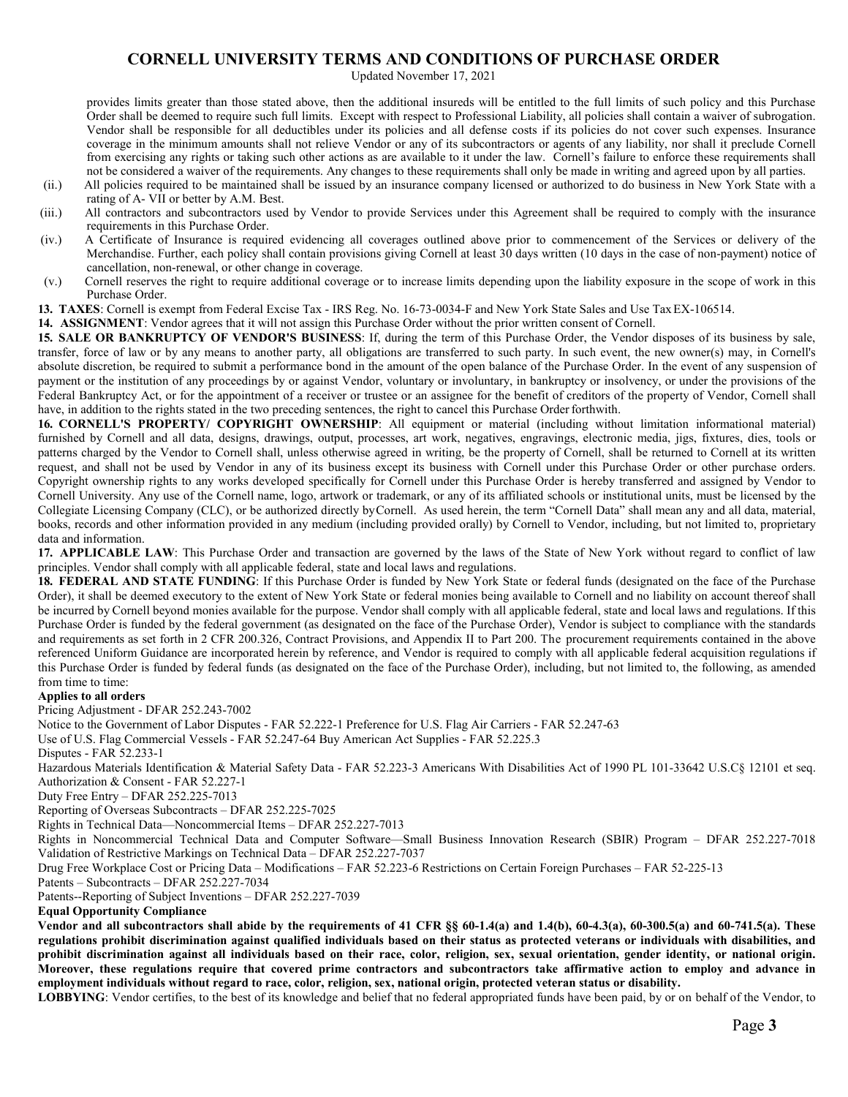Updated November 17, 2021

provides limits greater than those stated above, then the additional insureds will be entitled to the full limits of such policy and this Purchase Order shall be deemed to require such full limits. Except with respect to Professional Liability, all policies shall contain a waiver of subrogation. Vendor shall be responsible for all deductibles under its policies and all defense costs if its policies do not cover such expenses. Insurance coverage in the minimum amounts shall not relieve Vendor or any of its subcontractors or agents of any liability, nor shall it preclude Cornell from exercising any rights or taking such other actions as are available to it under the law. Cornell's failure to enforce these requirements shall not be considered a waiver of the requirements. Any changes to these requirements shall only be made in writing and agreed upon by all parties.

- (ii.) All policies required to be maintained shall be issued by an insurance company licensed or authorized to do business in New York State with a rating of A- VII or better by A.M. Best.
- (iii.) All contractors and subcontractors used by Vendor to provide Services under this Agreement shall be required to comply with the insurance requirements in this Purchase Order.
- (iv.) A Certificate of Insurance is required evidencing all coverages outlined above prior to commencement of the Services or delivery of the Merchandise. Further, each policy shall contain provisions giving Cornell at least 30 days written (10 days in the case of non-payment) notice of cancellation, non-renewal, or other change in coverage.
- (v.) Cornell reserves the right to require additional coverage or to increase limits depending upon the liability exposure in the scope of work in this Purchase Order.
- 13. **TAXES**: Cornell is exempt from Federal Excise Tax IRS Reg. No. 16-73-0034-F and New York State Sales and Use Tax EX-106514.

**14. ASSIGNMENT**: Vendor agrees that it will not assign this Purchase Order without the prior written consent of Cornell.

**15. SALE OR BANKRUPTCY OF VENDOR'S BUSINESS**: If, during the term of this Purchase Order, the Vendor disposes of its business by sale, transfer, force of law or by any means to another party, all obligations are transferred to such party. In such event, the new owner(s) may, in Cornell's absolute discretion, be required to submit a performance bond in the amount of the open balance of the Purchase Order. In the event of any suspension of payment or the institution of any proceedings by or against Vendor, voluntary or involuntary, in bankruptcy or insolvency, or under the provisions of the Federal Bankruptcy Act, or for the appointment of a receiver or trustee or an assignee for the benefit of creditors of the property of Vendor, Cornell shall have, in addition to the rights stated in the two preceding sentences, the right to cancel this Purchase Order forthwith.

**16. CORNELL'S PROPERTY/ COPYRIGHT OWNERSHIP**: All equipment or material (including without limitation informational material) furnished by Cornell and all data, designs, drawings, output, processes, art work, negatives, engravings, electronic media, jigs, fixtures, dies, tools or patterns charged by the Vendor to Cornell shall, unless otherwise agreed in writing, be the property of Cornell, shall be returned to Cornell at its written request, and shall not be used by Vendor in any of its business except its business with Cornell under this Purchase Order or other purchase orders. Copyright ownership rights to any works developed specifically for Cornell under this Purchase Order is hereby transferred and assigned by Vendor to Cornell University. Any use of the Cornell name, logo, artwork or trademark, or any of its affiliated schools or institutional units, must be licensed by the Collegiate Licensing Company (CLC), or be authorized directly byCornell. As used herein, the term "Cornell Data" shall mean any and all data, material, books, records and other information provided in any medium (including provided orally) by Cornell to Vendor, including, but not limited to, proprietary data and information.

**17. APPLICABLE LAW**: This Purchase Order and transaction are governed by the laws of the State of New York without regard to conflict of law principles. Vendor shall comply with all applicable federal, state and local laws and regulations.

**18. FEDERAL AND STATE FUNDING**: If this Purchase Order is funded by New York State or federal funds (designated on the face of the Purchase Order), it shall be deemed executory to the extent of New York State or federal monies being available to Cornell and no liability on account thereof shall be incurred by Cornell beyond monies available for the purpose. Vendor shall comply with all applicable federal, state and local laws and regulations. If this Purchase Order is funded by the federal government (as designated on the face of the Purchase Order), Vendor is subject to compliance with the standards and requirements as set forth in 2 CFR 200.326, Contract Provisions, and Appendix II to Part 200. The procurement requirements contained in the above referenced Uniform Guidance are incorporated herein by reference, and Vendor is required to comply with all applicable federal acquisition regulations if this Purchase Order is funded by federal funds (as designated on the face of the Purchase Order), including, but not limited to, the following, as amended from time to time:

### **Applies to all orders**

Pricing Adjustment - DFAR 252.243-7002

Notice to the Government of Labor Disputes - FAR 52.222-1 Preference for U.S. Flag Air Carriers - FAR 52.247-63

Use of U.S. Flag Commercial Vessels - FAR 52.247-64 Buy American Act Supplies - FAR 52.225.3

Disputes - FAR 52.233-1

Hazardous Materials Identification & Material Safety Data - FAR 52.223-3 Americans With Disabilities Act of 1990 PL 101-33642 U.S.C§ 12101 et seq. Authorization & Consent - FAR 52.227-1

Duty Free Entry – DFAR 252.225-7013

Reporting of Overseas Subcontracts – DFAR 252.225-7025

Rights in Technical Data—Noncommercial Items – DFAR 252.227-7013

Rights in Noncommercial Technical Data and Computer Software—Small Business Innovation Research (SBIR) Program – DFAR 252.227-7018 Validation of Restrictive Markings on Technical Data – DFAR 252.227-7037

Drug Free Workplace Cost or Pricing Data – Modifications – FAR 52.223-6 Restrictions on Certain Foreign Purchases – FAR 52-225-13

Patents – Subcontracts – DFAR 252.227-7034

Patents--Reporting of Subject Inventions – DFAR 252.227-7039

**Equal Opportunity Compliance**

**Vendor and all subcontractors shall abide by the requirements of 41 CFR §§ 60-1.4(a) and 1.4(b), 60-4.3(a), 60-300.5(a) and 60-741.5(a). These regulations prohibit discrimination against qualified individuals based on their status as protected veterans or individuals with disabilities, and prohibit discrimination against all individuals based on their race, color, religion, sex, sexual orientation, gender identity, or national origin. Moreover, these regulations require that covered prime contractors and subcontractors take affirmative action to employ and advance in employment individuals without regard to race, color, religion, sex, national origin, protected veteran status or disability.**

**LOBBYING**: Vendor certifies, to the best of its knowledge and belief that no federal appropriated funds have been paid, by or on behalf of the Vendor, to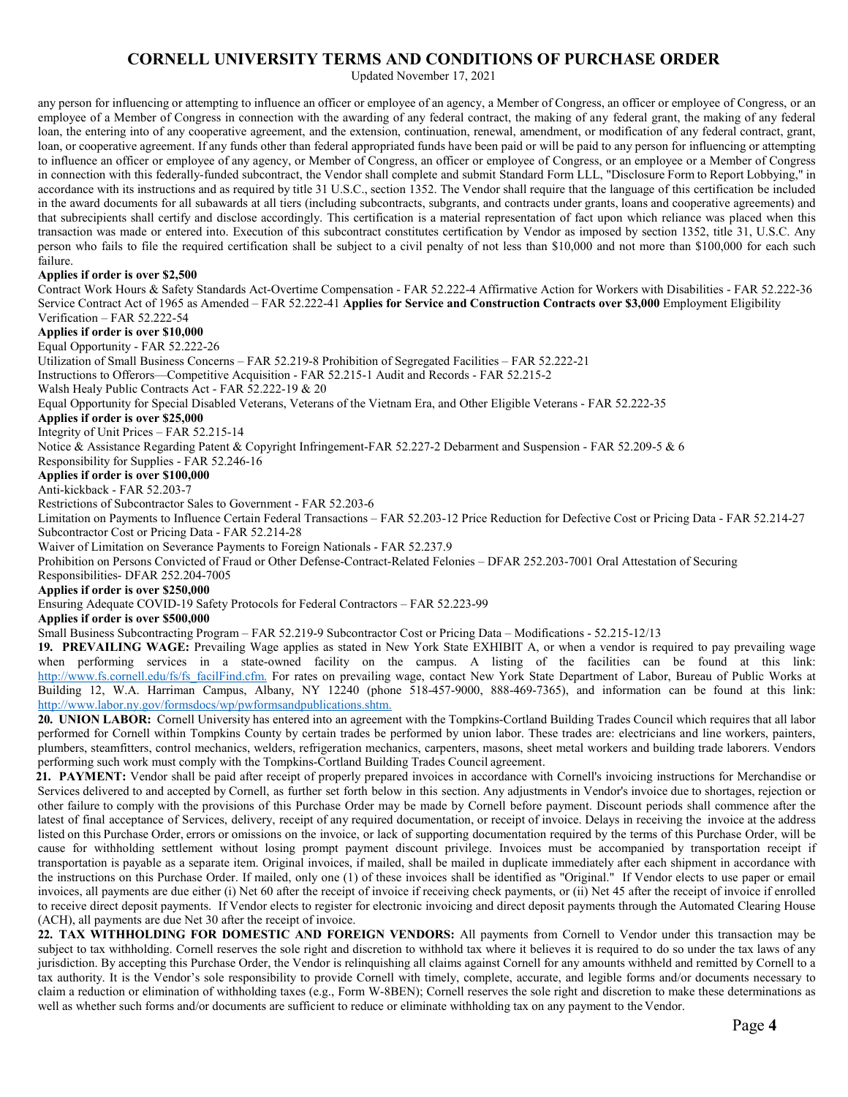Updated November 17, 2021

any person for influencing or attempting to influence an officer or employee of an agency, a Member of Congress, an officer or employee of Congress, or an employee of a Member of Congress in connection with the awarding of any federal contract, the making of any federal grant, the making of any federal loan, the entering into of any cooperative agreement, and the extension, continuation, renewal, amendment, or modification of any federal contract, grant, loan, or cooperative agreement. If any funds other than federal appropriated funds have been paid or will be paid to any person for influencing or attempting to influence an officer or employee of any agency, or Member of Congress, an officer or employee of Congress, or an employee or a Member of Congress in connection with this federally-funded subcontract, the Vendor shall complete and submit Standard Form LLL, "Disclosure Form to Report Lobbying," in accordance with its instructions and as required by title 31 U.S.C., section 1352. The Vendor shall require that the language of this certification be included in the award documents for all subawards at all tiers (including subcontracts, subgrants, and contracts under grants, loans and cooperative agreements) and that subrecipients shall certify and disclose accordingly. This certification is a material representation of fact upon which reliance was placed when this transaction was made or entered into. Execution of this subcontract constitutes certification by Vendor as imposed by section 1352, title 31, U.S.C. Any person who fails to file the required certification shall be subject to a civil penalty of not less than \$10,000 and not more than \$100,000 for each such failure.

### **Applies if order is over \$2,500**

Contract Work Hours & Safety Standards Act-Overtime Compensation - FAR 52.222-4 Affirmative Action for Workers with Disabilities - FAR 52.222-36 Service Contract Act of 1965 as Amended – FAR 52.222-41 **Applies for Service and Construction Contracts over \$3,000** Employment Eligibility Verification – FAR 52.222-54

### **Applies if order is over \$10,000**

Equal Opportunity - FAR 52.222-26

Utilization of Small Business Concerns – FAR 52.219-8 Prohibition of Segregated Facilities – FAR 52.222-21

Instructions to Offerors—Competitive Acquisition - FAR 52.215-1 Audit and Records - FAR 52.215-2

Walsh Healy Public Contracts Act - FAR 52.222-19 & 20

Equal Opportunity for Special Disabled Veterans, Veterans of the Vietnam Era, and Other Eligible Veterans - FAR 52.222-35

### **Applies if order is over \$25,000**

Integrity of Unit Prices – FAR 52.215-14

Notice & Assistance Regarding Patent & Copyright Infringement-FAR 52.227-2 Debarment and Suspension - FAR 52.209-5 & 6

Responsibility for Supplies - FAR 52.246-16

#### **Applies if order is over \$100,000**

Anti-kickback - FAR 52.203-7

Restrictions of Subcontractor Sales to Government - FAR 52.203-6

Limitation on Payments to Influence Certain Federal Transactions – FAR 52.203-12 Price Reduction for Defective Cost or Pricing Data - FAR 52.214-27 Subcontractor Cost or Pricing Data - FAR 52.214-28

Waiver of Limitation on Severance Payments to Foreign Nationals - FAR 52.237.9

Prohibition on Persons Convicted of Fraud or Other Defense-Contract-Related Felonies – DFAR 252.203-7001 Oral Attestation of Securing

Responsibilities- DFAR 252.204-7005

#### **Applies if order is over \$250,000**

Ensuring Adequate COVID-19 Safety Protocols for Federal Contractors – FAR 52.223-99

**Applies if order is over \$500,000**

Small Business Subcontracting Program – FAR 52.219-9 Subcontractor Cost or Pricing Data – Modifications - 52.215-12/13

**19. PREVAILING WAGE:** Prevailing Wage applies as stated in New York State EXHIBIT A, or when a vendor is required to pay prevailing wage when performing services in a state-owned facility on the campus. A listing of the facilities can be found at this link: http://www.fs.cornell.edu/fs/fs\_facilFind.cfm. For rates on prevailing wage, contact New York State Department of Labor, Bureau of Public Works at Building 12, W.A. Harriman Campus, Albany, NY 12240 (phone 518-457-9000, 888-469-7365), and information can be found at this link: http://www.labor.ny.gov/formsdocs/wp/pwformsandpublications.shtm.

**20. UNION LABOR:** Cornell University has entered into an agreement with the Tompkins-Cortland Building Trades Council which requires that all labor performed for Cornell within Tompkins County by certain trades be performed by union labor. These trades are: electricians and line workers, painters, plumbers, steamfitters, control mechanics, welders, refrigeration mechanics, carpenters, masons, sheet metal workers and building trade laborers. Vendors performing such work must comply with the Tompkins-Cortland Building Trades Council agreement.

**21. PAYMENT:** Vendor shall be paid after receipt of properly prepared invoices in accordance with Cornell's invoicing instructions for Merchandise or Services delivered to and accepted by Cornell, as further set forth below in this section. Any adjustments in Vendor's invoice due to shortages, rejection or other failure to comply with the provisions of this Purchase Order may be made by Cornell before payment. Discount periods shall commence after the latest of final acceptance of Services, delivery, receipt of any required documentation, or receipt of invoice. Delays in receiving the invoice at the address listed on this Purchase Order, errors or omissions on the invoice, or lack of supporting documentation required by the terms of this Purchase Order, will be cause for withholding settlement without losing prompt payment discount privilege. Invoices must be accompanied by transportation receipt if transportation is payable as a separate item. Original invoices, if mailed, shall be mailed in duplicate immediately after each shipment in accordance with the instructions on this Purchase Order. If mailed, only one (1) of these invoices shall be identified as "Original." If Vendor elects to use paper or email invoices, all payments are due either (i) Net 60 after the receipt of invoice if receiving check payments, or (ii) Net 45 after the receipt of invoice if enrolled to receive direct deposit payments. If Vendor elects to register for electronic invoicing and direct deposit payments through the Automated Clearing House (ACH), all payments are due Net 30 after the receipt of invoice.

**22. TAX WITHHOLDING FOR DOMESTIC AND FOREIGN VENDORS:** All payments from Cornell to Vendor under this transaction may be subject to tax withholding. Cornell reserves the sole right and discretion to withhold tax where it believes it is required to do so under the tax laws of any jurisdiction. By accepting this Purchase Order, the Vendor is relinquishing all claims against Cornell for any amounts withheld and remitted by Cornell to a tax authority. It is the Vendor's sole responsibility to provide Cornell with timely, complete, accurate, and legible forms and/or documents necessary to claim a reduction or elimination of withholding taxes (e.g., Form W-8BEN); Cornell reserves the sole right and discretion to make these determinations as well as whether such forms and/or documents are sufficient to reduce or eliminate withholding tax on any payment to the Vendor.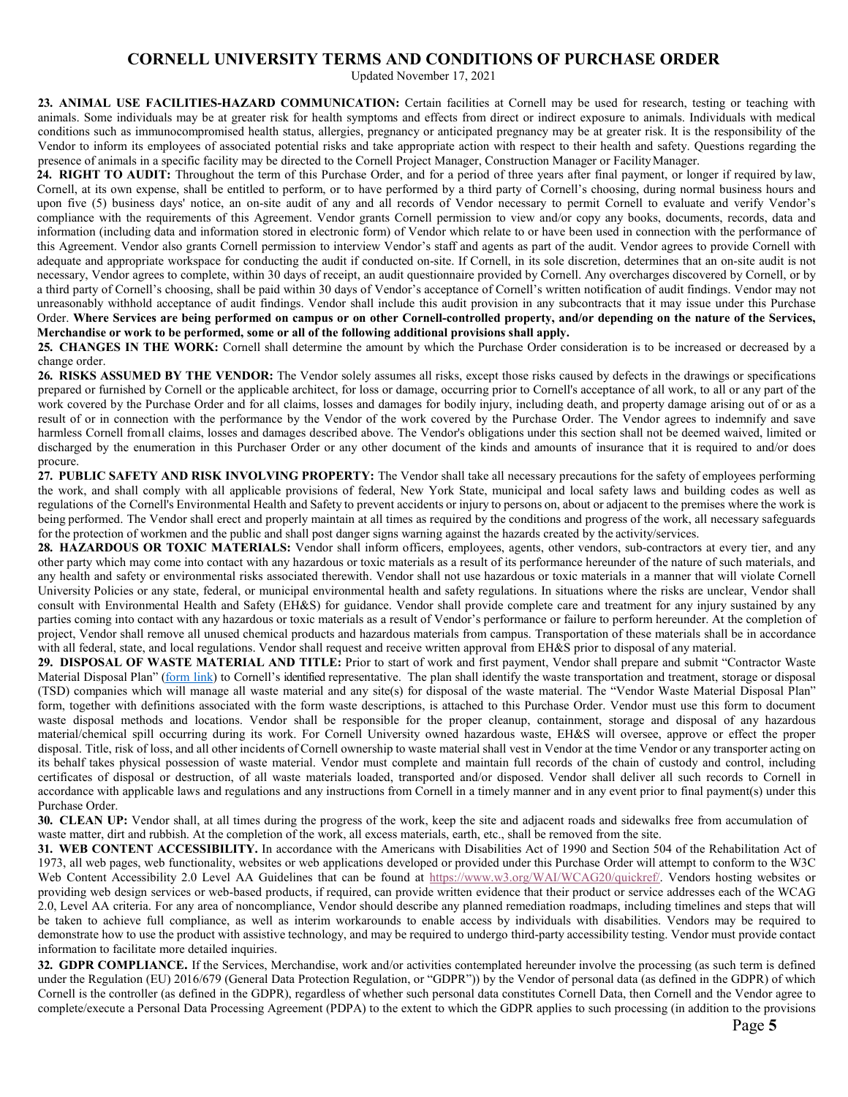Updated November 17, 2021

**23. ANIMAL USE FACILITIES-HAZARD COMMUNICATION:** Certain facilities at Cornell may be used for research, testing or teaching with animals. Some individuals may be at greater risk for health symptoms and effects from direct or indirect exposure to animals. Individuals with medical conditions such as immunocompromised health status, allergies, pregnancy or anticipated pregnancy may be at greater risk. It is the responsibility of the Vendor to inform its employees of associated potential risks and take appropriate action with respect to their health and safety. Questions regarding the presence of animals in a specific facility may be directed to the Cornell Project Manager, Construction Manager or FacilityManager.

**24. RIGHT TO AUDIT:** Throughout the term of this Purchase Order, and for a period of three years after final payment, or longer if required by law, Cornell, at its own expense, shall be entitled to perform, or to have performed by a third party of Cornell's choosing, during normal business hours and upon five (5) business days' notice, an on-site audit of any and all records of Vendor necessary to permit Cornell to evaluate and verify Vendor's compliance with the requirements of this Agreement. Vendor grants Cornell permission to view and/or copy any books, documents, records, data and information (including data and information stored in electronic form) of Vendor which relate to or have been used in connection with the performance of this Agreement. Vendor also grants Cornell permission to interview Vendor's staff and agents as part of the audit. Vendor agrees to provide Cornell with adequate and appropriate workspace for conducting the audit if conducted on-site. If Cornell, in its sole discretion, determines that an on-site audit is not necessary, Vendor agrees to complete, within 30 days of receipt, an audit questionnaire provided by Cornell. Any overcharges discovered by Cornell, or by a third party of Cornell's choosing, shall be paid within 30 days of Vendor's acceptance of Cornell's written notification of audit findings. Vendor may not unreasonably withhold acceptance of audit findings. Vendor shall include this audit provision in any subcontracts that it may issue under this Purchase Order. **Where Services are being performed on campus or on other Cornell-controlled property, and/or depending on the nature of the Services, Merchandise or work to be performed, some or all of the following additional provisions shall apply.**

**25. CHANGES IN THE WORK:** Cornell shall determine the amount by which the Purchase Order consideration is to be increased or decreased by a change order.

**26. RISKS ASSUMED BY THE VENDOR:** The Vendor solely assumes all risks, except those risks caused by defects in the drawings or specifications prepared or furnished by Cornell or the applicable architect, for loss or damage, occurring prior to Cornell's acceptance of all work, to all or any part of the work covered by the Purchase Order and for all claims, losses and damages for bodily injury, including death, and property damage arising out of or as a result of or in connection with the performance by the Vendor of the work covered by the Purchase Order. The Vendor agrees to indemnify and save harmless Cornell fromall claims, losses and damages described above. The Vendor's obligations under this section shall not be deemed waived, limited or discharged by the enumeration in this Purchaser Order or any other document of the kinds and amounts of insurance that it is required to and/or does procure.

**27. PUBLIC SAFETY AND RISK INVOLVING PROPERTY:** The Vendor shall take all necessary precautions for the safety of employees performing the work, and shall comply with all applicable provisions of federal, New York State, municipal and local safety laws and building codes as well as regulations of the Cornell's Environmental Health and Safety to prevent accidents or injury to persons on, about or adjacent to the premises where the work is being performed. The Vendor shall erect and properly maintain at all times as required by the conditions and progress of the work, all necessary safeguards for the protection of workmen and the public and shall post danger signs warning against the hazards created by the activity/services.

**28. HAZARDOUS OR TOXIC MATERIALS:** Vendor shall inform officers, employees, agents, other vendors, sub-contractors at every tier, and any other party which may come into contact with any hazardous or toxic materials as a result of its performance hereunder of the nature of such materials, and any health and safety or environmental risks associated therewith. Vendor shall not use hazardous or toxic materials in a manner that will violate Cornell University Policies or any state, federal, or municipal environmental health and safety regulations. In situations where the risks are unclear, Vendor shall consult with Environmental Health and Safety (EH&S) for guidance. Vendor shall provide complete care and treatment for any injury sustained by any parties coming into contact with any hazardous or toxic materials as a result of Vendor's performance or failure to perform hereunder. At the completion of project, Vendor shall remove all unused chemical products and hazardous materials from campus. Transportation of these materials shall be in accordance with all federal, state, and local regulations. Vendor shall request and receive written approval from EH&S prior to disposal of any material.

**29. DISPOSAL OF WASTE MATERIAL AND TITLE:** Prior to start of work and first payment, Vendor shall prepare and submit "Contractor Waste Material Disposal Plan" (form link) to Cornell's identified representative. The plan shall identify the waste transportation and treatment, storage or disposal (TSD) companies which will manage all waste material and any site(s) for disposal of the waste material. The "Vendor Waste Material Disposal Plan" form, together with definitions associated with the form waste descriptions, is attached to this Purchase Order. Vendor must use this form to document waste disposal methods and locations. Vendor shall be responsible for the proper cleanup, containment, storage and disposal of any hazardous material/chemical spill occurring during its work. For Cornell University owned hazardous waste, EH&S will oversee, approve or effect the proper disposal. Title, risk of loss, and all other incidents of Cornell ownership to waste material shall vest in Vendor at the time Vendor or any transporter acting on its behalf takes physical possession of waste material. Vendor must complete and maintain full records of the chain of custody and control, including certificates of disposal or destruction, of all waste materials loaded, transported and/or disposed. Vendor shall deliver all such records to Cornell in accordance with applicable laws and regulations and any instructions from Cornell in a timely manner and in any event prior to final payment(s) under this Purchase Order.

**30. CLEAN UP:** Vendor shall, at all times during the progress of the work, keep the site and adjacent roads and sidewalks free from accumulation of waste matter, dirt and rubbish. At the completion of the work, all excess materials, earth, etc., shall be removed from the site.

**31. WEB CONTENT ACCESSIBILITY.** In accordance with the Americans with Disabilities Act of 1990 and Section 504 of the Rehabilitation Act of 1973, all web pages, web functionality, websites or web applications developed or provided under this Purchase Order will attempt to conform to the W3C Web Content Accessibility 2.0 Level AA Guidelines that can be found at https://www.w3.org/WAI/WCAG20/quickref/. Vendors hosting websites or providing web design services or web-based products, if required, can provide written evidence that their product or service addresses each of the WCAG 2.0, Level AA criteria. For any area of noncompliance, Vendor should describe any planned remediation roadmaps, including timelines and steps that will be taken to achieve full compliance, as well as interim workarounds to enable access by individuals with disabilities. Vendors may be required to demonstrate how to use the product with assistive technology, and may be required to undergo third-party accessibility testing. Vendor must provide contact information to facilitate more detailed inquiries.

**32. GDPR COMPLIANCE.** If the Services, Merchandise, work and/or activities contemplated hereunder involve the processing (as such term is defined under the Regulation (EU) 2016/679 (General Data Protection Regulation, or "GDPR")) by the Vendor of personal data (as defined in the GDPR) of which Cornell is the controller (as defined in the GDPR), regardless of whether such personal data constitutes Cornell Data, then Cornell and the Vendor agree to complete/execute a Personal Data Processing Agreement (PDPA) to the extent to which the GDPR applies to such processing (in addition to the provisions